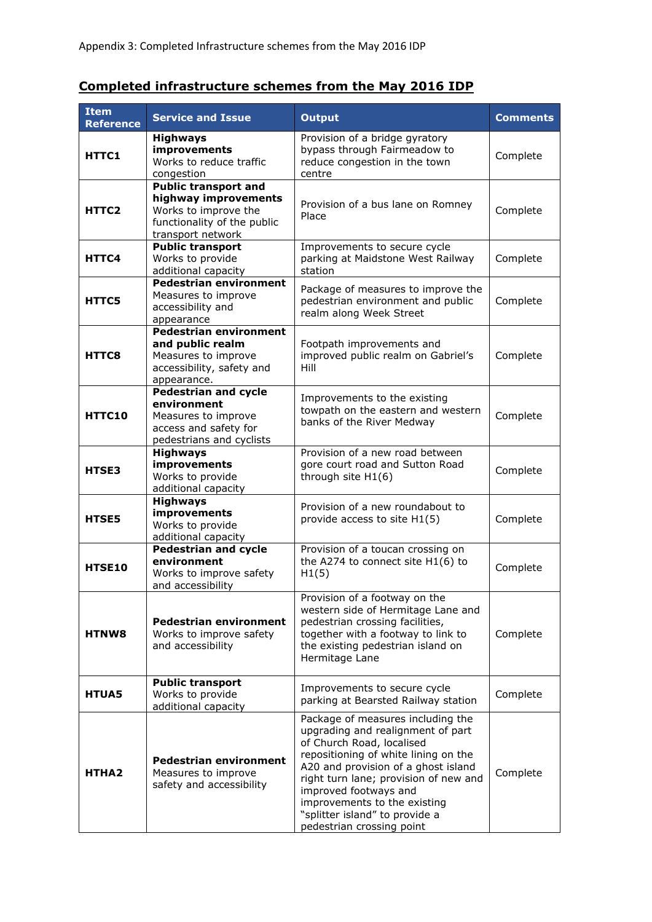## **Completed infrastructure schemes from the May 2016 IDP**

| <b>Item</b><br><b>Reference</b> | <b>Service and Issue</b>                                                                                                        | <b>Output</b>                                                                                                                                                                                                                                                                                                                                       | <b>Comments</b> |
|---------------------------------|---------------------------------------------------------------------------------------------------------------------------------|-----------------------------------------------------------------------------------------------------------------------------------------------------------------------------------------------------------------------------------------------------------------------------------------------------------------------------------------------------|-----------------|
| HTTC1                           | <b>Highways</b><br>improvements<br>Works to reduce traffic<br>congestion                                                        | Provision of a bridge gyratory<br>bypass through Fairmeadow to<br>reduce congestion in the town<br>centre                                                                                                                                                                                                                                           | Complete        |
| HTTC2                           | <b>Public transport and</b><br>highway improvements<br>Works to improve the<br>functionality of the public<br>transport network | Provision of a bus lane on Romney<br>Place                                                                                                                                                                                                                                                                                                          | Complete        |
| HTTC4                           | <b>Public transport</b><br>Works to provide<br>additional capacity                                                              | Improvements to secure cycle<br>parking at Maidstone West Railway<br>station                                                                                                                                                                                                                                                                        | Complete        |
| <b>HTTC5</b>                    | <b>Pedestrian environment</b><br>Measures to improve<br>accessibility and<br>appearance                                         | Package of measures to improve the<br>pedestrian environment and public<br>realm along Week Street                                                                                                                                                                                                                                                  | Complete        |
| HTTC8                           | <b>Pedestrian environment</b><br>and public realm<br>Measures to improve<br>accessibility, safety and<br>appearance.            | Footpath improvements and<br>improved public realm on Gabriel's<br>Hill                                                                                                                                                                                                                                                                             | Complete        |
| HTTC10                          | <b>Pedestrian and cycle</b><br>environment<br>Measures to improve<br>access and safety for<br>pedestrians and cyclists          | Improvements to the existing<br>towpath on the eastern and western<br>banks of the River Medway                                                                                                                                                                                                                                                     | Complete        |
| HTSE3                           | <b>Highways</b><br>improvements<br>Works to provide<br>additional capacity                                                      | Provision of a new road between<br>gore court road and Sutton Road<br>through site H1(6)                                                                                                                                                                                                                                                            | Complete        |
| <b>HTSE5</b>                    | <b>Highways</b><br>improvements<br>Works to provide<br>additional capacity                                                      | Provision of a new roundabout to<br>provide access to site H1(5)                                                                                                                                                                                                                                                                                    | Complete        |
| <b>HTSE10</b>                   | <b>Pedestrian and cycle</b><br>environment<br>Works to improve safety<br>and accessibility                                      | Provision of a toucan crossing on<br>the A274 to connect site $H1(6)$ to<br>H1(5)                                                                                                                                                                                                                                                                   | Complete        |
| <b>HTNW8</b>                    | <b>Pedestrian environment</b><br>Works to improve safety<br>and accessibility                                                   | Provision of a footway on the<br>western side of Hermitage Lane and<br>pedestrian crossing facilities,<br>together with a footway to link to<br>the existing pedestrian island on<br>Hermitage Lane                                                                                                                                                 | Complete        |
| <b>HTUA5</b>                    | <b>Public transport</b><br>Works to provide<br>additional capacity                                                              | Improvements to secure cycle<br>parking at Bearsted Railway station                                                                                                                                                                                                                                                                                 | Complete        |
| <b>HTHA2</b>                    | <b>Pedestrian environment</b><br>Measures to improve<br>safety and accessibility                                                | Package of measures including the<br>upgrading and realignment of part<br>of Church Road, localised<br>repositioning of white lining on the<br>A20 and provision of a ghost island<br>right turn lane; provision of new and<br>improved footways and<br>improvements to the existing<br>"splitter island" to provide a<br>pedestrian crossing point | Complete        |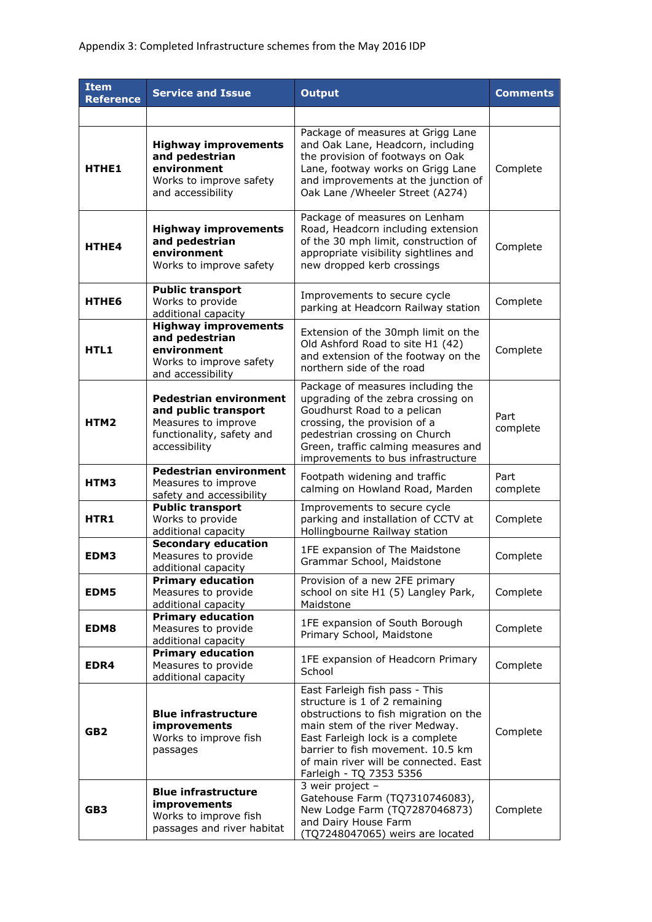| <b>Item</b><br><b>Reference</b> | <b>Service and Issue</b>                                                                                                   | <b>Output</b>                                                                                                                                                                                                                                                                           | <b>Comments</b>  |
|---------------------------------|----------------------------------------------------------------------------------------------------------------------------|-----------------------------------------------------------------------------------------------------------------------------------------------------------------------------------------------------------------------------------------------------------------------------------------|------------------|
|                                 |                                                                                                                            |                                                                                                                                                                                                                                                                                         |                  |
| HTHE1                           | <b>Highway improvements</b><br>and pedestrian<br>environment<br>Works to improve safety<br>and accessibility               | Package of measures at Grigg Lane<br>and Oak Lane, Headcorn, including<br>the provision of footways on Oak<br>Lane, footway works on Grigg Lane<br>and improvements at the junction of<br>Oak Lane / Wheeler Street (A274)                                                              | Complete         |
| HTHE4                           | <b>Highway improvements</b><br>and pedestrian<br>environment<br>Works to improve safety                                    | Package of measures on Lenham<br>Road, Headcorn including extension<br>of the 30 mph limit, construction of<br>appropriate visibility sightlines and<br>new dropped kerb crossings                                                                                                      | Complete         |
| <b>HTHE6</b>                    | <b>Public transport</b><br>Works to provide<br>additional capacity                                                         | Improvements to secure cycle<br>parking at Headcorn Railway station                                                                                                                                                                                                                     | Complete         |
| HTL1                            | <b>Highway improvements</b><br>and pedestrian<br>environment<br>Works to improve safety<br>and accessibility               | Extension of the 30mph limit on the<br>Old Ashford Road to site H1 (42)<br>and extension of the footway on the<br>northern side of the road                                                                                                                                             | Complete         |
| HTM <sub>2</sub>                | <b>Pedestrian environment</b><br>and public transport<br>Measures to improve<br>functionality, safety and<br>accessibility | Package of measures including the<br>upgrading of the zebra crossing on<br>Goudhurst Road to a pelican<br>crossing, the provision of a<br>pedestrian crossing on Church<br>Green, traffic calming measures and<br>improvements to bus infrastructure                                    | Part<br>complete |
| HTM3                            | <b>Pedestrian environment</b><br>Measures to improve<br>safety and accessibility                                           | Footpath widening and traffic<br>calming on Howland Road, Marden                                                                                                                                                                                                                        | Part<br>complete |
| HTR1                            | <b>Public transport</b><br>Works to provide<br>additional capacity                                                         | Improvements to secure cycle<br>parking and installation of CCTV at<br>Hollingbourne Railway station                                                                                                                                                                                    | Complete         |
| EDM3                            | <b>Secondary education</b><br>Measures to provide<br>additional capacity                                                   | 1FE expansion of The Maidstone<br>Grammar School, Maidstone                                                                                                                                                                                                                             | Complete         |
| EDM5                            | <b>Primary education</b><br>Measures to provide<br>additional capacity                                                     | Provision of a new 2FE primary<br>school on site H1 (5) Langley Park,<br>Maidstone                                                                                                                                                                                                      | Complete         |
| EDM8                            | <b>Primary education</b><br>Measures to provide<br>additional capacity                                                     | 1FE expansion of South Borough<br>Primary School, Maidstone                                                                                                                                                                                                                             | Complete         |
| EDR4                            | <b>Primary education</b><br>Measures to provide<br>additional capacity                                                     | 1FE expansion of Headcorn Primary<br>School                                                                                                                                                                                                                                             | Complete         |
| GB <sub>2</sub>                 | <b>Blue infrastructure</b><br>improvements<br>Works to improve fish<br>passages                                            | East Farleigh fish pass - This<br>structure is 1 of 2 remaining<br>obstructions to fish migration on the<br>main stem of the river Medway.<br>East Farleigh lock is a complete<br>barrier to fish movement. 10.5 km<br>of main river will be connected. East<br>Farleigh - TQ 7353 5356 | Complete         |
| GB3                             | <b>Blue infrastructure</b><br>improvements<br>Works to improve fish<br>passages and river habitat                          | 3 weir project -<br>Gatehouse Farm (TQ7310746083),<br>New Lodge Farm (TQ7287046873)<br>and Dairy House Farm<br>(TQ7248047065) weirs are located                                                                                                                                         | Complete         |